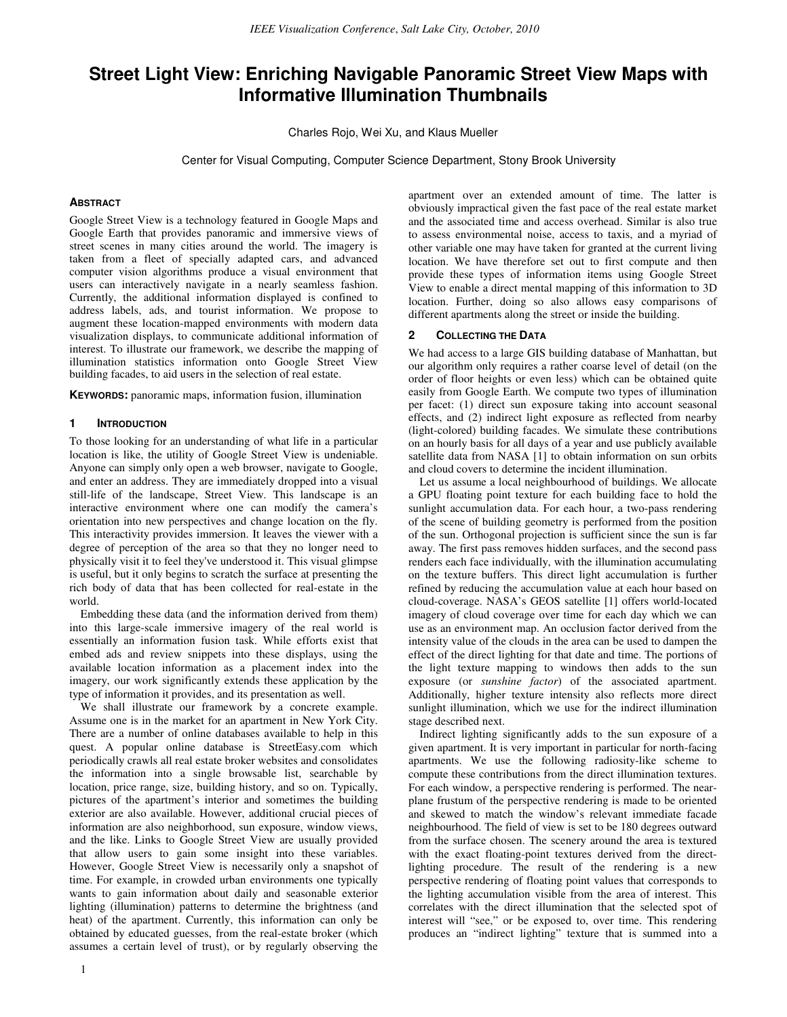# Street Light View: Enriching Navigable Panoramic Street View Maps with Informative Illumination Thumbnails

Charles Rojo, Wei Xu, and Klaus Mueller

Center for Visual Computing, Computer Science Department, Stony Brook University

#### **ABSTRACT**

Google Street View is a technology featured in Google Maps and Google Earth that provides panoramic and immersive views of street scenes in many cities around the world. The imagery is taken from a fleet of specially adapted cars, and advanced computer vision algorithms produce a visual environment that users can interactively navigate in a nearly seamless fashion. Currently, the additional information displayed is confined to address labels, ads, and tourist information. We propose to augment these location-mapped environments with modern data visualization displays, to communicate additional information of interest. To illustrate our framework, we describe the mapping of illumination statistics information onto Google Street View building facades, to aid users in the selection of real estate.

KEYWORDS: panoramic maps, information fusion, illumination

#### **INTRODUCTION**

To those looking for an understanding of what life in a particular location is like, the utility of Google Street View is undeniable. Anyone can simply only open a web browser, navigate to Google, and enter an address. They are immediately dropped into a visual still-life of the landscape, Street View. This landscape is an interactive environment where one can modify the camera's orientation into new perspectives and change location on the fly. This interactivity provides immersion. It leaves the viewer with a degree of perception of the area so that they no longer need to physically visit it to feel they've understood it. This visual glimpse is useful, but it only begins to scratch the surface at presenting the rich body of data that has been collected for real-estate in the world.

Embedding these data (and the information derived from them) into this large-scale immersive imagery of the real world is essentially an information fusion task. While efforts exist that embed ads and review snippets into these displays, using the available location information as a placement index into the imagery, our work significantly extends these application by the type of information it provides, and its presentation as well.

We shall illustrate our framework by a concrete example. Assume one is in the market for an apartment in New York City. There are a number of online databases available to help in this quest. A popular online database is StreetEasy.com which periodically crawls all real estate broker websites and consolidates the information into a single browsable list, searchable by location, price range, size, building history, and so on. Typically, pictures of the apartment's interior and sometimes the building exterior are also available. However, additional crucial pieces of information are also neighborhood, sun exposure, window views, and the like. Links to Google Street View are usually provided that allow users to gain some insight into these variables. However, Google Street View is necessarily only a snapshot of time. For example, in crowded urban environments one typically wants to gain information about daily and seasonable exterior lighting (illumination) patterns to determine the brightness (and heat) of the apartment. Currently, this information can only be obtained by educated guesses, from the real-estate broker (which assumes a certain level of trust), or by regularly observing the

apartment over an extended amount of time. The latter is obviously impractical given the fast pace of the real estate market and the associated time and access overhead. Similar is also true to assess environmental noise, access to taxis, and a myriad of other variable one may have taken for granted at the current living location. We have therefore set out to first compute and then provide these types of information items using Google Street View to enable a direct mental mapping of this information to 3D location. Further, doing so also allows easy comparisons of different apartments along the street or inside the building.

#### 2 COLLECTING THE DATA

We had access to a large GIS building database of Manhattan, but our algorithm only requires a rather coarse level of detail (on the order of floor heights or even less) which can be obtained quite easily from Google Earth. We compute two types of illumination per facet: (1) direct sun exposure taking into account seasonal effects, and (2) indirect light exposure as reflected from nearby (light-colored) building facades. We simulate these contributions on an hourly basis for all days of a year and use publicly available satellite data from NASA [1] to obtain information on sun orbits and cloud covers to determine the incident illumination.

Let us assume a local neighbourhood of buildings. We allocate a GPU floating point texture for each building face to hold the sunlight accumulation data. For each hour, a two-pass rendering of the scene of building geometry is performed from the position of the sun. Orthogonal projection is sufficient since the sun is far away. The first pass removes hidden surfaces, and the second pass renders each face individually, with the illumination accumulating on the texture buffers. This direct light accumulation is further refined by reducing the accumulation value at each hour based on cloud-coverage. NASA's GEOS satellite [1] offers world-located imagery of cloud coverage over time for each day which we can use as an environment map. An occlusion factor derived from the intensity value of the clouds in the area can be used to dampen the effect of the direct lighting for that date and time. The portions of the light texture mapping to windows then adds to the sun exposure (or sunshine factor) of the associated apartment. Additionally, higher texture intensity also reflects more direct sunlight illumination, which we use for the indirect illumination stage described next.

Indirect lighting significantly adds to the sun exposure of a given apartment. It is very important in particular for north-facing apartments. We use the following radiosity-like scheme to compute these contributions from the direct illumination textures. For each window, a perspective rendering is performed. The nearplane frustum of the perspective rendering is made to be oriented and skewed to match the window's relevant immediate facade neighbourhood. The field of view is set to be 180 degrees outward from the surface chosen. The scenery around the area is textured with the exact floating-point textures derived from the directlighting procedure. The result of the rendering is a new perspective rendering of floating point values that corresponds to the lighting accumulation visible from the area of interest. This correlates with the direct illumination that the selected spot of interest will "see," or be exposed to, over time. This rendering produces an "indirect lighting" texture that is summed into a